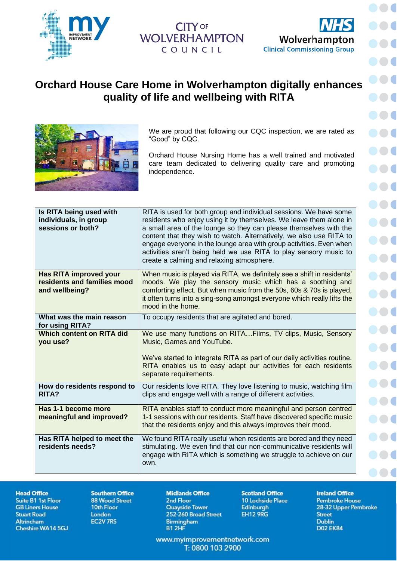

## **WOLVERHAMPTON** COUNCIL



 $\bullet$ 

 $\blacksquare$ 

DO.

 $\bullet$ 

 $\bullet$ 

**DOC** 

## **Orchard House Care Home in Wolverhampton digitally enhances quality of life and wellbeing with RITA**



We are proud that following our CQC inspection, we are rated as "Good" by CQC.

Orchard House Nursing Home has a well trained and motivated care team dedicated to delivering quality care and promoting independence.

| Is RITA being used with<br>individuals, in group<br>sessions or both?          | RITA is used for both group and individual sessions. We have some<br>residents who enjoy using it by themselves. We leave them alone in<br>a small area of the lounge so they can please themselves with the<br>content that they wish to watch. Alternatively, we also use RITA to<br>engage everyone in the lounge area with group activities. Even when<br>activities aren't being held we use RITA to play sensory music to<br>create a calming and relaxing atmosphere. |
|--------------------------------------------------------------------------------|------------------------------------------------------------------------------------------------------------------------------------------------------------------------------------------------------------------------------------------------------------------------------------------------------------------------------------------------------------------------------------------------------------------------------------------------------------------------------|
| <b>Has RITA improved your</b><br>residents and families mood<br>and wellbeing? | When music is played via RITA, we definitely see a shift in residents'<br>moods. We play the sensory music which has a soothing and<br>comforting effect. But when music from the 50s, 60s & 70s is played,<br>it often turns into a sing-song amongst everyone which really lifts the<br>mood in the home.                                                                                                                                                                  |
| What was the main reason<br>for using RITA?                                    | To occupy residents that are agitated and bored.                                                                                                                                                                                                                                                                                                                                                                                                                             |
| <b>Which content on RITA did</b><br>you use?                                   | We use many functions on RITAFilms, TV clips, Music, Sensory<br>Music, Games and YouTube.<br>We've started to integrate RITA as part of our daily activities routine.<br>RITA enables us to easy adapt our activities for each residents<br>separate requirements.                                                                                                                                                                                                           |
| How do residents respond to<br><b>RITA?</b>                                    | Our residents love RITA. They love listening to music, watching film<br>clips and engage well with a range of different activities.                                                                                                                                                                                                                                                                                                                                          |
| Has 1-1 become more<br>meaningful and improved?                                | RITA enables staff to conduct more meaningful and person centred<br>1-1 sessions with our residents. Staff have discovered specific music<br>that the residents enjoy and this always improves their mood.                                                                                                                                                                                                                                                                   |
| Has RITA helped to meet the<br>residents needs?                                | We found RITA really useful when residents are bored and they need<br>stimulating. We even find that our non-communicative residents will<br>engage with RITA which is something we struggle to achieve on our<br>own.                                                                                                                                                                                                                                                       |

**Head Office** 

Suite B1 1st Floor **GB Liners House Stuart Road** Altrincham Cheshire WA14 5GJ

**Southern Office 88 Wood Street** 10th Floor London **EC2V 7RS** 

**Midlands Office** 2nd Floor **Quayside Tower** 252-260 Broad Street **Birmingham** B1 2HF

**Scotland Office** 10 Lochside Place **Edinburgh EH12 9RG** 

**Ireland Office Pembroke House** 28-32 Upper Pembroke **Street Dublin D02 EK84** 

www.myimprovementnetwork.com T: 0800 103 2900